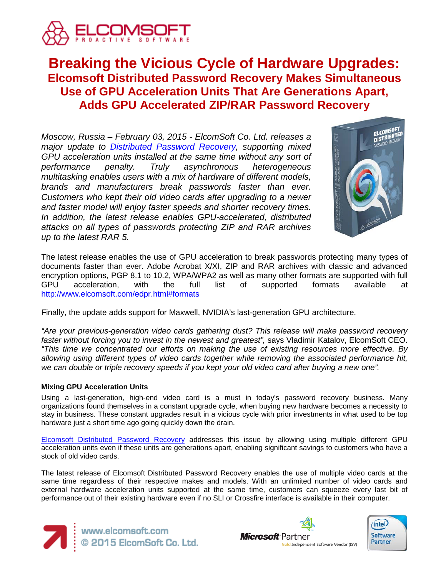

# **Breaking the Vicious Cycle of Hardware Upgrades: Elcomsoft Distributed Password Recovery Makes Simultaneous Use of GPU Acceleration Units That Are Generations Apart, Adds GPU Accelerated ZIP/RAR Password Recovery**

*Moscow, Russia – February 03, 2015 - ElcomSoft Co. Ltd. releases a major update to [Distributed Password Recovery,](https://www.elcomsoft.com/edpr.html) supporting mixed GPU acceleration units installed at the same time without any sort of performance penalty. Truly asynchronous heterogeneous multitasking enables users with a mix of hardware of different models, brands and manufacturers break passwords faster than ever. Customers who kept their old video cards after upgrading to a newer and faster model will enjoy faster speeds and shorter recovery times. In addition, the latest release enables GPU-accelerated, distributed attacks on all types of passwords protecting ZIP and RAR archives up to the latest RAR 5.*



The latest release enables the use of GPU acceleration to break passwords protecting many types of documents faster than ever. Adobe Acrobat X/XI, ZIP and RAR archives with classic and advanced encryption options, PGP 8.1 to 10.2, WPA/WPA2 as well as many other formats are supported with full GPU acceleration, with the full list of supported formats available at <http://www.elcomsoft.com/edpr.html#formats>

Finally, the update adds support for Maxwell, NVIDIA's last-generation GPU architecture.

*"Are your previous-generation video cards gathering dust? This release will make password recovery faster without forcing you to invest in the newest and greatest",* says Vladimir Katalov, ElcomSoft CEO. *"This time we concentrated our efforts on making the use of existing resources more effective. By allowing using different types of video cards together while removing the associated performance hit, we can double or triple recovery speeds if you kept your old video card after buying a new one".*

# **Mixing GPU Acceleration Units**

Using a last-generation, high-end video card is a must in today's password recovery business. Many organizations found themselves in a constant upgrade cycle, when buying new hardware becomes a necessity to stay in business. These constant upgrades result in a vicious cycle with prior investments in what used to be top hardware just a short time ago going quickly down the drain.

[Elcomsoft Distributed Password Recovery](https://www.elcomsoft.com/edpr.html) addresses this issue by allowing using multiple different GPU acceleration units even if these units are generations apart, enabling significant savings to customers who have a stock of old video cards.

The latest release of Elcomsoft Distributed Password Recovery enables the use of multiple video cards at the same time regardless of their respective makes and models. With an unlimited number of video cards and external hardware acceleration units supported at the same time, customers can squeeze every last bit of performance out of their existing hardware even if no SLI or Crossfire interface is available in their computer.





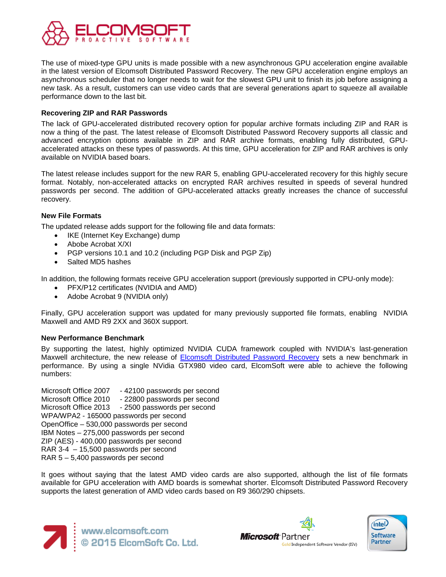

The use of mixed-type GPU units is made possible with a new asynchronous GPU acceleration engine available in the latest version of Elcomsoft Distributed Password Recovery. The new GPU acceleration engine employs an asynchronous scheduler that no longer needs to wait for the slowest GPU unit to finish its job before assigning a new task. As a result, customers can use video cards that are several generations apart to squeeze all available performance down to the last bit.

## **Recovering ZIP and RAR Passwords**

The lack of GPU-accelerated distributed recovery option for popular archive formats including ZIP and RAR is now a thing of the past. The latest release of Elcomsoft Distributed Password Recovery supports all classic and advanced encryption options available in ZIP and RAR archive formats, enabling fully distributed, GPUaccelerated attacks on these types of passwords. At this time, GPU acceleration for ZIP and RAR archives is only available on NVIDIA based boars.

The latest release includes support for the new RAR 5, enabling GPU-accelerated recovery for this highly secure format. Notably, non-accelerated attacks on encrypted RAR archives resulted in speeds of several hundred passwords per second. The addition of GPU-accelerated attacks greatly increases the chance of successful recovery.

## **New File Formats**

The updated release adds support for the following file and data formats:

- IKE (Internet Key Exchange) dump
- Abobe Acrobat X/XI
- PGP versions 10.1 and 10.2 (including PGP Disk and PGP Zip)
- Salted MD5 hashes

In addition, the following formats receive GPU acceleration support (previously supported in CPU-only mode):

- PFX/P12 certificates (NVIDIA and AMD)
- Adobe Acrobat 9 (NVIDIA only)

Finally, GPU acceleration support was updated for many previously supported file formats, enabling NVIDIA Maxwell and AMD R9 2XX and 360X support.

## **New Performance Benchmark**

By supporting the latest, highly optimized NVIDIA CUDA framework coupled with NVIDIA's last-generation Maxwell architecture, the new release of [Elcomsoft Distributed Password Recovery](https://www.elcomsoft.com/edpr.html) sets a new benchmark in performance. By using a single NVidia GTX980 video card, ElcomSoft were able to achieve the following numbers:

Microsoft Office 2007 - 42100 passwords per second Microsoft Office 2010 - 22800 passwords per second Microsoft Office 2013 - 2500 passwords per second WPA/WPA2 - 165000 passwords per second OpenOffice – 530,000 passwords per second IBM Notes – 275,000 passwords per second ZIP (AES) - 400,000 passwords per second RAR 3-4 – 15,500 passwords per second RAR 5 – 5,400 passwords per second

It goes without saying that the latest AMD video cards are also supported, although the list of file formats available for GPU acceleration with AMD boards is somewhat shorter. Elcomsoft Distributed Password Recovery supports the latest generation of AMD video cards based on R9 360/290 chipsets.